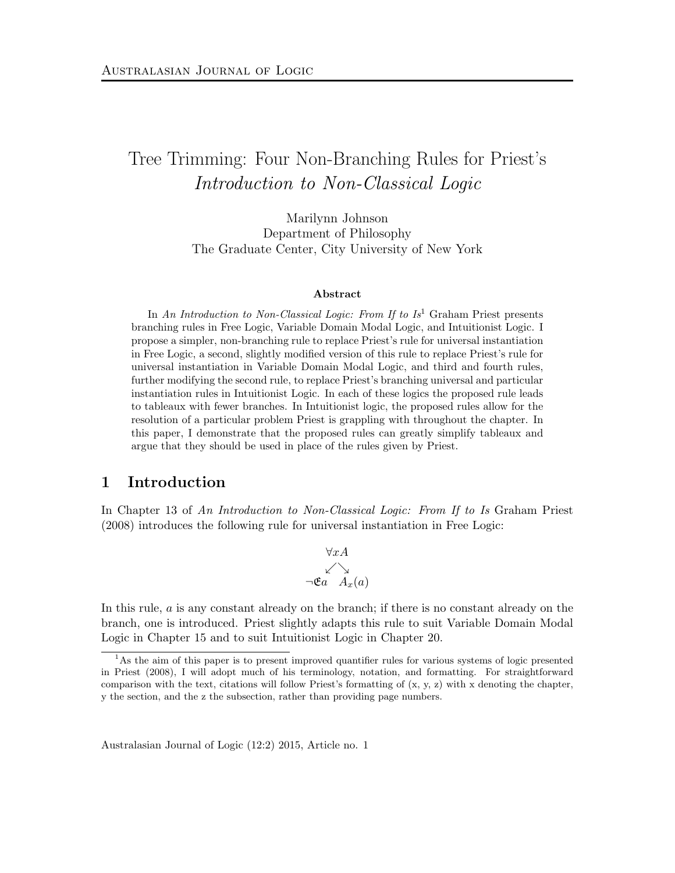# Tree Trimming: Four Non-Branching Rules for Priest's Introduction to Non-Classical Logic

Marilynn Johnson Department of Philosophy The Graduate Center, City University of New York

#### Abstract

In An Introduction to Non-Classical Logic: From If to  $Is^1$  Graham Priest presents branching rules in Free Logic, Variable Domain Modal Logic, and Intuitionist Logic. I propose a simpler, non-branching rule to replace Priest's rule for universal instantiation in Free Logic, a second, slightly modified version of this rule to replace Priest's rule for universal instantiation in Variable Domain Modal Logic, and third and fourth rules, further modifying the second rule, to replace Priest's branching universal and particular instantiation rules in Intuitionist Logic. In each of these logics the proposed rule leads to tableaux with fewer branches. In Intuitionist logic, the proposed rules allow for the resolution of a particular problem Priest is grappling with throughout the chapter. In this paper, I demonstrate that the proposed rules can greatly simplify tableaux and argue that they should be used in place of the rules given by Priest.

# 1 Introduction

In Chapter 13 of An Introduction to Non-Classical Logic: From If to Is Graham Priest (2008) introduces the following rule for universal instantiation in Free Logic:

$$
\forall x A
$$
  
\n
$$
\swarrow \searrow
$$
  
\n
$$
\neg \mathfrak{E}a \quad A_x(a)
$$

In this rule,  $\alpha$  is any constant already on the branch; if there is no constant already on the branch, one is introduced. Priest slightly adapts this rule to suit Variable Domain Modal Logic in Chapter 15 and to suit Intuitionist Logic in Chapter 20.

<sup>&</sup>lt;sup>1</sup>As the aim of this paper is to present improved quantifier rules for various systems of logic presented in Priest (2008), I will adopt much of his terminology, notation, and formatting. For straightforward comparison with the text, citations will follow Priest's formatting of (x, y, z) with x denoting the chapter, y the section, and the z the subsection, rather than providing page numbers.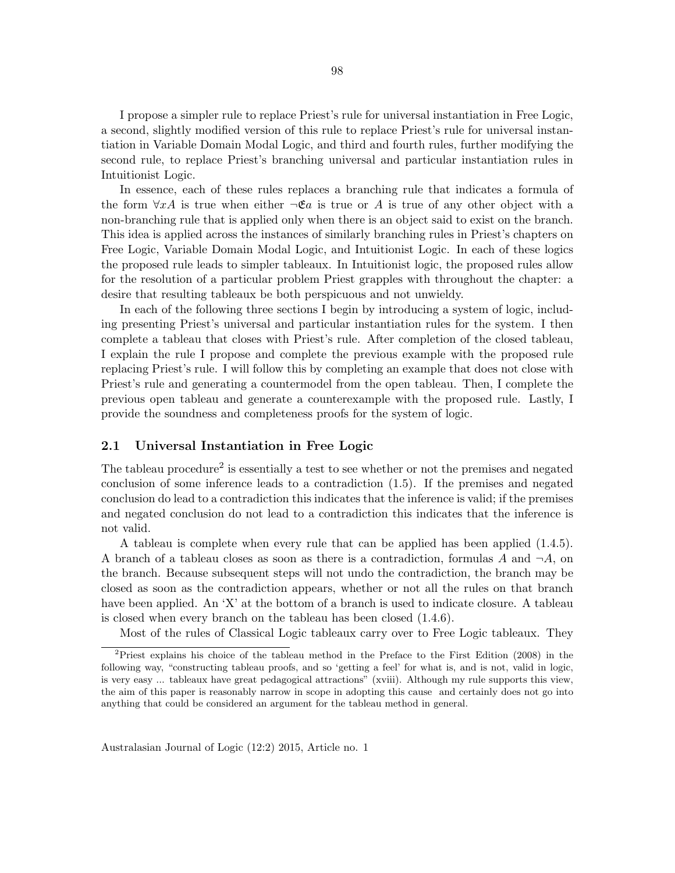I propose a simpler rule to replace Priest's rule for universal instantiation in Free Logic, a second, slightly modified version of this rule to replace Priest's rule for universal instantiation in Variable Domain Modal Logic, and third and fourth rules, further modifying the second rule, to replace Priest's branching universal and particular instantiation rules in Intuitionist Logic.

In essence, each of these rules replaces a branching rule that indicates a formula of the form  $\forall x A$  is true when either  $\neg \mathfrak{E}a$  is true or A is true of any other object with a non-branching rule that is applied only when there is an object said to exist on the branch. This idea is applied across the instances of similarly branching rules in Priest's chapters on Free Logic, Variable Domain Modal Logic, and Intuitionist Logic. In each of these logics the proposed rule leads to simpler tableaux. In Intuitionist logic, the proposed rules allow for the resolution of a particular problem Priest grapples with throughout the chapter: a desire that resulting tableaux be both perspicuous and not unwieldy.

In each of the following three sections I begin by introducing a system of logic, including presenting Priest's universal and particular instantiation rules for the system. I then complete a tableau that closes with Priest's rule. After completion of the closed tableau, I explain the rule I propose and complete the previous example with the proposed rule replacing Priest's rule. I will follow this by completing an example that does not close with Priest's rule and generating a countermodel from the open tableau. Then, I complete the previous open tableau and generate a counterexample with the proposed rule. Lastly, I provide the soundness and completeness proofs for the system of logic.

## 2.1 Universal Instantiation in Free Logic

The tableau procedure<sup>2</sup> is essentially a test to see whether or not the premises and negated conclusion of some inference leads to a contradiction (1.5). If the premises and negated conclusion do lead to a contradiction this indicates that the inference is valid; if the premises and negated conclusion do not lead to a contradiction this indicates that the inference is not valid.

A tableau is complete when every rule that can be applied has been applied (1.4.5). A branch of a tableau closes as soon as there is a contradiction, formulas A and  $\neg A$ , on the branch. Because subsequent steps will not undo the contradiction, the branch may be closed as soon as the contradiction appears, whether or not all the rules on that branch have been applied. An 'X' at the bottom of a branch is used to indicate closure. A tableau is closed when every branch on the tableau has been closed (1.4.6).

Most of the rules of Classical Logic tableaux carry over to Free Logic tableaux. They

<sup>&</sup>lt;sup>2</sup>Priest explains his choice of the tableau method in the Preface to the First Edition (2008) in the following way, "constructing tableau proofs, and so 'getting a feel' for what is, and is not, valid in logic, is very easy ... tableaux have great pedagogical attractions" (xviii). Although my rule supports this view, the aim of this paper is reasonably narrow in scope in adopting this cause and certainly does not go into anything that could be considered an argument for the tableau method in general.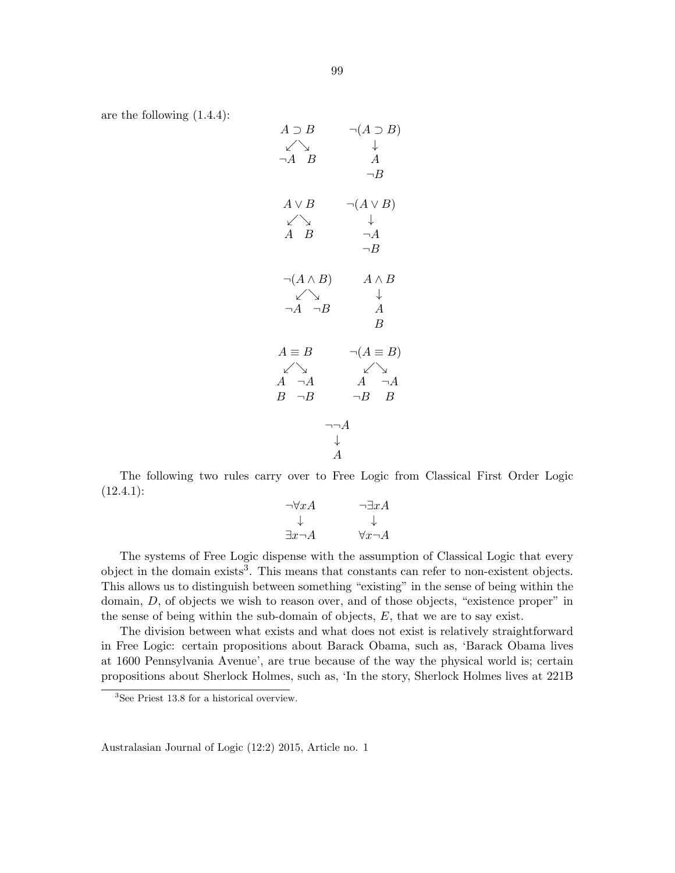are the following (1.4.4):

$$
A \supset B \qquad \neg(A \supset B)
$$
\n
$$
\downarrow \qquad \downarrow
$$
\n
$$
\neg A \qquad B \qquad A
$$
\n
$$
\neg B
$$
\n
$$
A \lor B \qquad \neg(A \lor B)
$$
\n
$$
\downarrow \qquad \downarrow
$$
\n
$$
A \qquad B \qquad \neg A
$$
\n
$$
\neg B
$$
\n
$$
\neg(A \land B) \qquad A \land B
$$
\n
$$
\downarrow \qquad \downarrow
$$
\n
$$
\neg A \qquad \neg B \qquad A
$$
\n
$$
B
$$
\n
$$
A \equiv B \qquad \neg(A \equiv B)
$$
\n
$$
\downarrow \qquad \qquad A
$$
\n
$$
\neg A \qquad \qquad A \qquad \neg A
$$
\n
$$
\downarrow
$$
\n
$$
A \qquad \neg A
$$
\n
$$
\downarrow
$$
\n
$$
A
$$

The following two rules carry over to Free Logic from Classical First Order Logic  $(12.4.1):$ 

$$
\neg \forall x A \qquad \qquad \neg \exists x A
$$
  

$$
\downarrow \qquad \qquad \downarrow
$$
  

$$
\exists x \neg A \qquad \qquad \forall x \neg A
$$

The systems of Free Logic dispense with the assumption of Classical Logic that every object in the domain exists<sup>3</sup>. This means that constants can refer to non-existent objects. This allows us to distinguish between something "existing" in the sense of being within the domain, D, of objects we wish to reason over, and of those objects, "existence proper" in the sense of being within the sub-domain of objects,  $E$ , that we are to say exist.

The division between what exists and what does not exist is relatively straightforward in Free Logic: certain propositions about Barack Obama, such as, 'Barack Obama lives at 1600 Pennsylvania Avenue', are true because of the way the physical world is; certain propositions about Sherlock Holmes, such as, 'In the story, Sherlock Holmes lives at 221B

<sup>3</sup>See Priest 13.8 for a historical overview.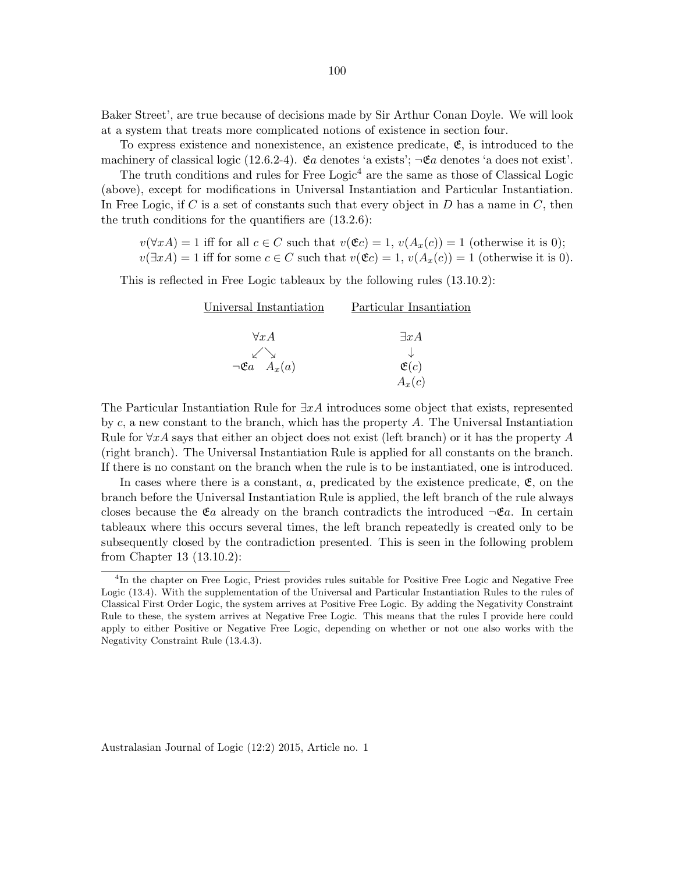Baker Street', are true because of decisions made by Sir Arthur Conan Doyle. We will look at a system that treats more complicated notions of existence in section four.

To express existence and nonexistence, an existence predicate,  $\mathfrak{E}$ , is introduced to the machinery of classical logic (12.6.2-4).  $\mathfrak{E}a$  denotes 'a exists';  $\neg \mathfrak{E}a$  denotes 'a does not exist'.

The truth conditions and rules for Free Logic<sup>4</sup> are the same as those of Classical Logic (above), except for modifications in Universal Instantiation and Particular Instantiation. In Free Logic, if C is a set of constants such that every object in D has a name in  $C$ , then the truth conditions for the quantifiers are (13.2.6):

 $v(\forall x A) = 1$  iff for all  $c \in C$  such that  $v(\mathfrak{E}c) = 1$ ,  $v(A_x(c)) = 1$  (otherwise it is 0);  $v(\exists x A) = 1$  iff for some  $c \in C$  such that  $v(\mathfrak{E}c) = 1$ ,  $v(A_x(c)) = 1$  (otherwise it is 0).

This is reflected in Free Logic tableaux by the following rules (13.10.2):

| Universal Instantiation           | Particular Insantiation |
|-----------------------------------|-------------------------|
|                                   |                         |
| $\forall x A$                     | $\exists x A$           |
|                                   |                         |
| $\neg \mathfrak{E}a \quad A_x(a)$ | $\mathfrak{E}(c)$       |
|                                   | $A_x(c)$                |

The Particular Instantiation Rule for  $\exists x \hat{A}$  introduces some object that exists, represented by  $c$ , a new constant to the branch, which has the property  $A$ . The Universal Instantiation Rule for  $\forall x \hat{A}$  says that either an object does not exist (left branch) or it has the property  $\hat{A}$ (right branch). The Universal Instantiation Rule is applied for all constants on the branch. If there is no constant on the branch when the rule is to be instantiated, one is introduced.

In cases where there is a constant, a, predicated by the existence predicate,  $\mathfrak{E}$ , on the branch before the Universal Instantiation Rule is applied, the left branch of the rule always closes because the  $\mathfrak{E}a$  already on the branch contradicts the introduced  $\neg \mathfrak{E}a$ . In certain tableaux where this occurs several times, the left branch repeatedly is created only to be subsequently closed by the contradiction presented. This is seen in the following problem from Chapter 13 (13.10.2):

<sup>&</sup>lt;sup>4</sup>In the chapter on Free Logic, Priest provides rules suitable for Positive Free Logic and Negative Free Logic (13.4). With the supplementation of the Universal and Particular Instantiation Rules to the rules of Classical First Order Logic, the system arrives at Positive Free Logic. By adding the Negativity Constraint Rule to these, the system arrives at Negative Free Logic. This means that the rules I provide here could apply to either Positive or Negative Free Logic, depending on whether or not one also works with the Negativity Constraint Rule (13.4.3).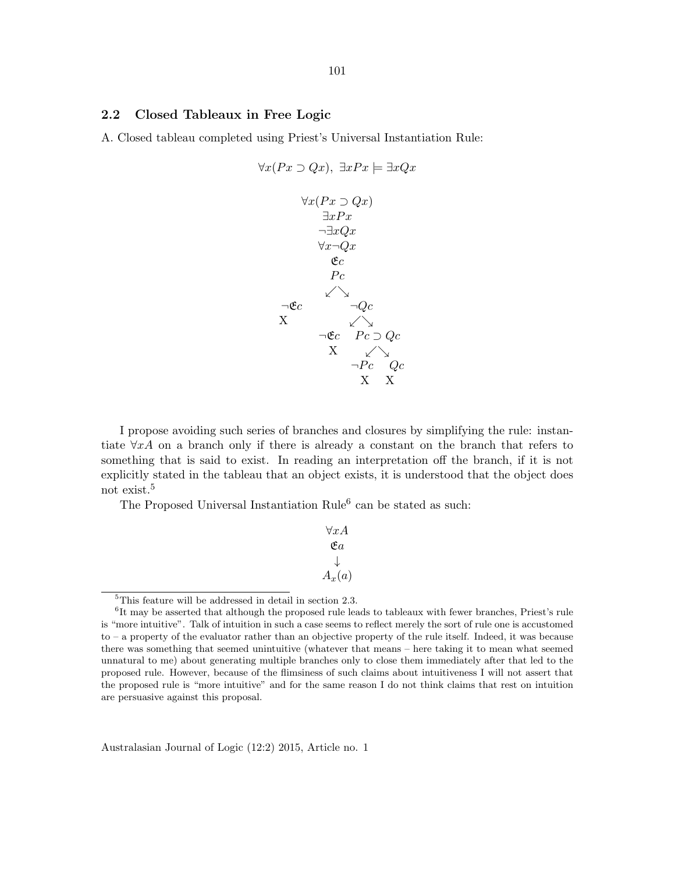## 2.2 Closed Tableaux in Free Logic

A. Closed tableau completed using Priest's Universal Instantiation Rule:

$$
\forall x (Px \supset Qx), \exists x Px \models \exists x Qx
$$

$$
\forall x (Px \supset Qx)
$$

$$
\exists x Px
$$

$$
\neg \exists x Qx
$$

$$
\forall x \neg Qx
$$

$$
\forall c
$$

$$
Pc
$$

$$
\land \forall c
$$

$$
\neg \& \land \neg Qc
$$

$$
\lor \neg \& \neg Qc
$$

$$
\lor \neg \& \neg Qc
$$

$$
\lor \neg \& \neg Qc
$$

$$
\lor \neg \& \neg Pc \quad Qc
$$

$$
\lor \quad \neg Pc \quad Qc
$$

$$
\lor \quad \lor \quad \neg Pc \quad Qc
$$

$$
\lor \quad \lor \quad \lor \quad \neg Pc \quad Qc
$$

I propose avoiding such series of branches and closures by simplifying the rule: instantiate  $\forall x A$  on a branch only if there is already a constant on the branch that refers to something that is said to exist. In reading an interpretation off the branch, if it is not explicitly stated in the tableau that an object exists, it is understood that the object does not exist.<sup>5</sup>

The Proposed Universal Instantiation Rule<sup>6</sup> can be stated as such:

∀xA Ea ↓  $A_x(a)$ 

<sup>5</sup>This feature will be addressed in detail in section 2.3.

<sup>&</sup>lt;sup>6</sup>It may be asserted that although the proposed rule leads to tableaux with fewer branches, Priest's rule is "more intuitive". Talk of intuition in such a case seems to reflect merely the sort of rule one is accustomed to – a property of the evaluator rather than an objective property of the rule itself. Indeed, it was because there was something that seemed unintuitive (whatever that means – here taking it to mean what seemed unnatural to me) about generating multiple branches only to close them immediately after that led to the proposed rule. However, because of the flimsiness of such claims about intuitiveness I will not assert that the proposed rule is "more intuitive" and for the same reason I do not think claims that rest on intuition are persuasive against this proposal.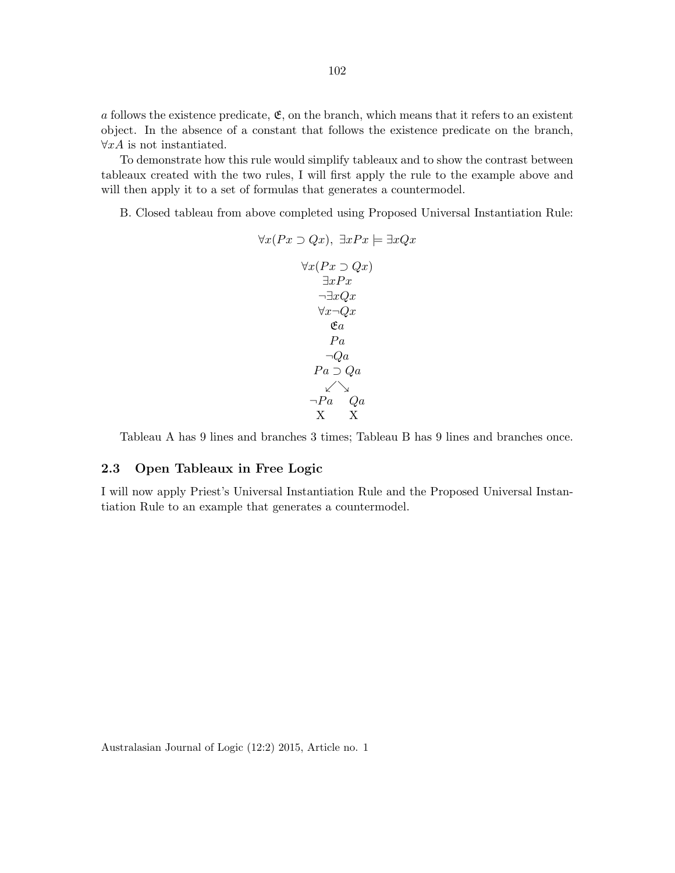a follows the existence predicate,  $\mathfrak{E}$ , on the branch, which means that it refers to an existent object. In the absence of a constant that follows the existence predicate on the branch,  $\forall x A$  is not instantiated.

To demonstrate how this rule would simplify tableaux and to show the contrast between tableaux created with the two rules, I will first apply the rule to the example above and will then apply it to a set of formulas that generates a countermodel.

B. Closed tableau from above completed using Proposed Universal Instantiation Rule:

$$
\forall x (Px \supset Qx), \exists x Px \models \exists x Qx
$$

$$
\forall x (Px \supset Qx)
$$

$$
\exists x Px
$$

$$
\neg \exists x Qx
$$

$$
\forall x \neg Qx
$$

$$
\&\qquad \qquad \&\qquad \qquad \&\qquad \qquad \&\qquad \qquad \&\qquad \qquad \&\qquad \qquad \&\qquad \qquad \&\qquad \qquad \&\qquad \qquad \&\qquad \qquad \&\qquad \qquad \&\qquad \qquad \&\qquad \qquad \&\qquad \qquad \&\qquad \qquad \&\qquad \qquad \&\qquad \qquad \&\qquad \qquad \&\qquad \qquad \&\qquad \qquad \&\qquad \qquad \&\qquad \qquad \&\qquad \qquad \&\qquad \qquad \&\qquad \qquad \&\qquad \qquad \&\qquad \qquad \&\qquad \qquad \&\qquad \qquad \&\qquad \qquad \&\qquad \qquad \&\qquad \qquad \&\qquad \qquad \&\qquad \qquad \&\qquad \&\qquad \qquad \&\qquad \&\qquad \&\qquad \qquad \&\qquad \&\qquad \qquad \&\qquad \&\qquad \&\qquad \qquad \&\qquad \&\qquad \qquad \&\qquad \&\qquad \&\qquad \&\qquad \&\qquad \&\qquad \&\qquad \&\qquad \&\qquad \&\qquad \&\qquad \&\qquad \&\qquad \&\qquad \&\qquad \&\qquad \&\qquad \&\qquad \&\qquad \&\qquad \&\qquad \&\qquad \&\qquad \&\qquad \&\qquad \&\qquad \&\qquad \&\qquad \&\qquad \&\qquad \&\qquad \&\qquad \&\qquad \&\qquad \&\qquad \&\qquad \&\qquad \&\qquad \&\qquad \&\qquad \&\qquad \&\qquad \&\qquad \&\qquad \&\qquad \&\qquad \&\qquad
$$

Tableau A has 9 lines and branches 3 times; Tableau B has 9 lines and branches once.

## 2.3 Open Tableaux in Free Logic

I will now apply Priest's Universal Instantiation Rule and the Proposed Universal Instantiation Rule to an example that generates a countermodel.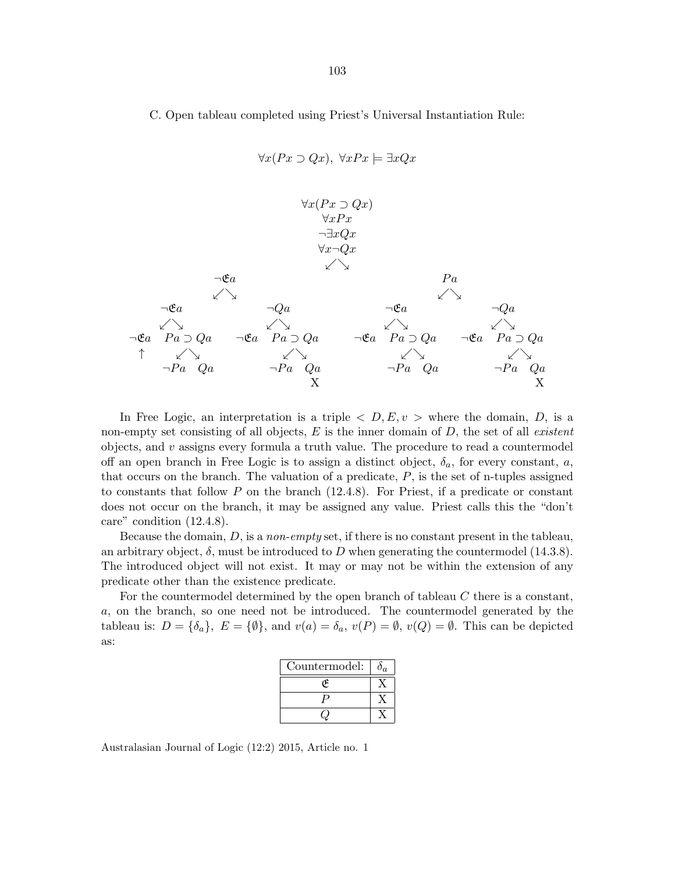C. Open tableau completed using Priest's Universal Instantiation Rule:

 $\forall x (Px \supset Qx), \ \forall x Px \models \exists x Qx$ 

$$
\forall x (Px \supset Qx) \n\forall xPx \n\exists xQx \n\forall x \neg Qx \n\forall x \neg Qx \n\forall x \neg Qx \n\forall x \neg Qx \n\forall x \neg Qx \n\forall x \neg Qx \n\forall x \land Qx \n\forall x \land Qx \n\forall x \land Qx \n\forall x \land Qx \n\forall x \land Qx \n\forall x \land Qx \n\forall x \land Qx \n\forall x \land Qx \n\forall x \land Qx \n\forall x \land Qx \n\forall x \land Qx \n\forall x \land Qx \n\forall x \land Qx \n\forall x \land Qx \n\forall x \land Qx \n\forall x \land Qx \n\forall x \land Qx \n\forall x \land Qx \n\forall x \land Qx \n\forall x \land Qx \n\forall x \land Qx \n\forall x \land Qx \n\forall x \land Qx \n\forall x \land Qx \n\forall x \land Qx \n\forall x \land Qx \n\forall x \land Qx \n\forall x \land Qx \n\forall x \land Qx \n\forall x \land Qx \n\forall x \land Qx \n\forall x \land Qx \n\forall x \land Qx \n\forall x \land Qx \n\forall x \land Qx \n\forall x \land Qx \n\forall x \land Qx \n\forall x \land Qx \n\forall x \land Qx \n\forall x \land Qx \n\forall x \land Qx \n\forall x \land Qx \n\forall x \land Qx \n\forall x \land Qx \n\forall x \land Qx \n\forall x \land Qx \n\forall x \land Qx \n\forall x \land Qx \n\forall x \land Qx \n\forall x \land Qx \n\forall x \land Qx \n\forall x \land Qx \n\forall x \land Qx \n\forall x \land Qx \n\forall x \land Qx \n\forall x \land Qx \n\forall x \land Qx \n\forall x \land Qx \n\forall x \land Qx \n\forall x \land Qx \n\forall
$$

In Free Logic, an interpretation is a triple  $\langle D, E, v \rangle$  where the domain, D, is a non-empty set consisting of all objects,  $E$  is the inner domain of  $D$ , the set of all *existent* objects, and  $v$  assigns every formula a truth value. The procedure to read a countermodel off an open branch in Free Logic is to assign a distinct object,  $\delta_a$ , for every constant, a, that occurs on the branch. The valuation of a predicate,  $P$ , is the set of n-tuples assigned to constants that follow  $P$  on the branch  $(12.4.8)$ . For Priest, if a predicate or constant does not occur on the branch, it may be assigned any value. Priest calls this the "don't care" condition (12.4.8).

Because the domain,  $D$ , is a *non-empty* set, if there is no constant present in the tableau, an arbitrary object,  $\delta$ , must be introduced to D when generating the countermodel (14.3.8). The introduced object will not exist. It may or may not be within the extension of any predicate other than the existence predicate.

For the countermodel determined by the open branch of tableau C there is a constant, a, on the branch, so one need not be introduced. The countermodel generated by the tableau is:  $D = \{\delta_a\}, E = \{\emptyset\},\$  and  $v(a) = \delta_a, v(P) = \emptyset, v(Q) = \emptyset$ . This can be depicted as:

| Countermodel: |  |
|---------------|--|
|               |  |
|               |  |
|               |  |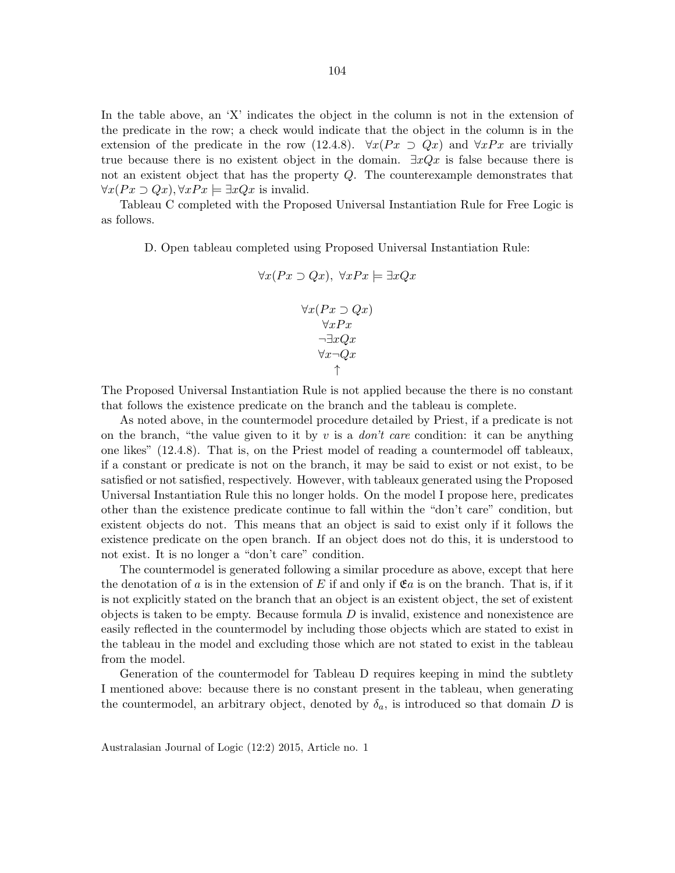In the table above, an 'X' indicates the object in the column is not in the extension of the predicate in the row; a check would indicate that the object in the column is in the extension of the predicate in the row (12.4.8).  $\forall x (Px \supset Qx)$  and  $\forall x Px$  are trivially true because there is no existent object in the domain.  $\exists xQx$  is false because there is not an existent object that has the property Q. The counterexample demonstrates that

Tableau C completed with the Proposed Universal Instantiation Rule for Free Logic is as follows.

 $\forall x (Px \supset Qx), \forall x Px \models \exists x Qx$  is invalid.

D. Open tableau completed using Proposed Universal Instantiation Rule:

$$
\forall x (Px \supset Qx), \ \forall x Px \models \exists x Qx
$$

$$
\forall x (Px \supset Qx)
$$

$$
\forall x Px
$$

$$
\neg \exists x Qx
$$

$$
\forall x \neg Qx
$$

$$
\uparrow
$$

The Proposed Universal Instantiation Rule is not applied because the there is no constant that follows the existence predicate on the branch and the tableau is complete.

As noted above, in the countermodel procedure detailed by Priest, if a predicate is not on the branch, "the value given to it by  $v$  is a *don't care* condition: it can be anything one likes" (12.4.8). That is, on the Priest model of reading a countermodel off tableaux, if a constant or predicate is not on the branch, it may be said to exist or not exist, to be satisfied or not satisfied, respectively. However, with tableaux generated using the Proposed Universal Instantiation Rule this no longer holds. On the model I propose here, predicates other than the existence predicate continue to fall within the "don't care" condition, but existent objects do not. This means that an object is said to exist only if it follows the existence predicate on the open branch. If an object does not do this, it is understood to not exist. It is no longer a "don't care" condition.

The countermodel is generated following a similar procedure as above, except that here the denotation of a is in the extension of E if and only if  $\mathfrak{E}a$  is on the branch. That is, if it is not explicitly stated on the branch that an object is an existent object, the set of existent objects is taken to be empty. Because formula  $D$  is invalid, existence and nonexistence are easily reflected in the countermodel by including those objects which are stated to exist in the tableau in the model and excluding those which are not stated to exist in the tableau from the model.

Generation of the countermodel for Tableau D requires keeping in mind the subtlety I mentioned above: because there is no constant present in the tableau, when generating the countermodel, an arbitrary object, denoted by  $\delta_a$ , is introduced so that domain D is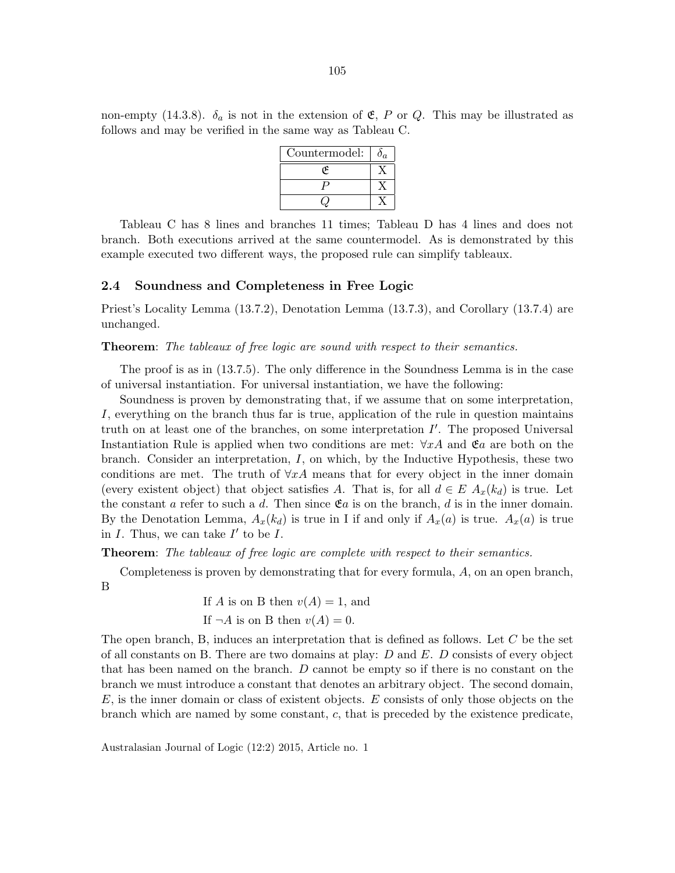| Countermodel: | $J_{\mathcal{G}}$ |
|---------------|-------------------|
|               |                   |
|               |                   |
|               |                   |

Tableau C has 8 lines and branches 11 times; Tableau D has 4 lines and does not branch. Both executions arrived at the same countermodel. As is demonstrated by this example executed two different ways, the proposed rule can simplify tableaux.

## 2.4 Soundness and Completeness in Free Logic

Priest's Locality Lemma (13.7.2), Denotation Lemma (13.7.3), and Corollary (13.7.4) are unchanged.

### Theorem: The tableaux of free logic are sound with respect to their semantics.

The proof is as in (13.7.5). The only difference in the Soundness Lemma is in the case of universal instantiation. For universal instantiation, we have the following:

Soundness is proven by demonstrating that, if we assume that on some interpretation, I, everything on the branch thus far is true, application of the rule in question maintains truth on at least one of the branches, on some interpretation  $I'$ . The proposed Universal Instantiation Rule is applied when two conditions are met:  $\forall x \hat{A}$  and  $\mathfrak{E}a$  are both on the branch. Consider an interpretation,  $I$ , on which, by the Inductive Hypothesis, these two conditions are met. The truth of  $\forall x \hat{A}$  means that for every object in the inner domain (every existent object) that object satisfies A. That is, for all  $d \in E A_x(k_d)$  is true. Let the constant a refer to such a d. Then since  $\mathfrak{E}a$  is on the branch, d is in the inner domain. By the Denotation Lemma,  $A_x(k_d)$  is true in I if and only if  $A_x(a)$  is true.  $A_x(a)$  is true in  $I$ . Thus, we can take  $I'$  to be  $I$ .

Theorem: The tableaux of free logic are complete with respect to their semantics.

Completeness is proven by demonstrating that for every formula, A, on an open branch, B

> If A is on B then  $v(A) = 1$ , and If  $\neg A$  is on B then  $v(A) = 0$ .

The open branch, B, induces an interpretation that is defined as follows. Let  $C$  be the set of all constants on B. There are two domains at play:  $D$  and  $E$ .  $D$  consists of every object that has been named on the branch. D cannot be empty so if there is no constant on the branch we must introduce a constant that denotes an arbitrary object. The second domain,  $E$ , is the inner domain or class of existent objects.  $E$  consists of only those objects on the branch which are named by some constant, c, that is preceded by the existence predicate,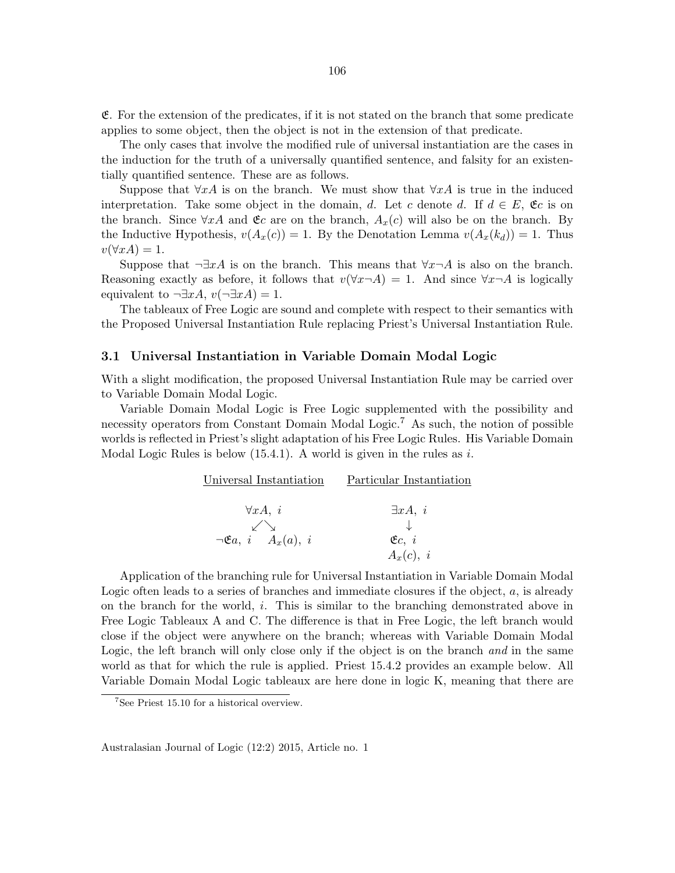$E$ . For the extension of the predicates, if it is not stated on the branch that some predicate applies to some object, then the object is not in the extension of that predicate.

The only cases that involve the modified rule of universal instantiation are the cases in the induction for the truth of a universally quantified sentence, and falsity for an existentially quantified sentence. These are as follows.

Suppose that  $\forall x A$  is on the branch. We must show that  $\forall x A$  is true in the induced interpretation. Take some object in the domain, d. Let c denote d. If  $d \in E$ ,  $\mathfrak{C}c$  is on the branch. Since  $\forall x A$  and  $\mathfrak{E}c$  are on the branch,  $A_x(c)$  will also be on the branch. By the Inductive Hypothesis,  $v(A_x(c)) = 1$ . By the Denotation Lemma  $v(A_x(k_d)) = 1$ . Thus  $v(\forall x A) = 1.$ 

Suppose that  $\neg \exists x A$  is on the branch. This means that  $\forall x \neg A$  is also on the branch. Reasoning exactly as before, it follows that  $v(\forall x \neg A) = 1$ . And since  $\forall x \neg A$  is logically equivalent to  $\neg \exists x A, v(\neg \exists x A) = 1$ .

The tableaux of Free Logic are sound and complete with respect to their semantics with the Proposed Universal Instantiation Rule replacing Priest's Universal Instantiation Rule.

#### 3.1 Universal Instantiation in Variable Domain Modal Logic

With a slight modification, the proposed Universal Instantiation Rule may be carried over to Variable Domain Modal Logic.

Variable Domain Modal Logic is Free Logic supplemented with the possibility and necessity operators from Constant Domain Modal Logic.<sup>7</sup> As such, the notion of possible worlds is reflected in Priest's slight adaptation of his Free Logic Rules. His Variable Domain Modal Logic Rules is below  $(15.4.1)$ . A world is given in the rules as i.

| Universal Instantiation                 | Particular Instantiation |
|-----------------------------------------|--------------------------|
| $\forall x A, i$                        | $\exists xA, i$          |
|                                         |                          |
| $\neg \mathfrak{E}a, i \quad A_x(a), i$ | C, i                     |
|                                         | $A_x(c), i$              |

Application of the branching rule for Universal Instantiation in Variable Domain Modal Logic often leads to a series of branches and immediate closures if the object, a, is already on the branch for the world, i. This is similar to the branching demonstrated above in Free Logic Tableaux A and C. The difference is that in Free Logic, the left branch would close if the object were anywhere on the branch; whereas with Variable Domain Modal Logic, the left branch will only close only if the object is on the branch and in the same world as that for which the rule is applied. Priest 15.4.2 provides an example below. All Variable Domain Modal Logic tableaux are here done in logic K, meaning that there are

 $7$ See Priest 15.10 for a historical overview.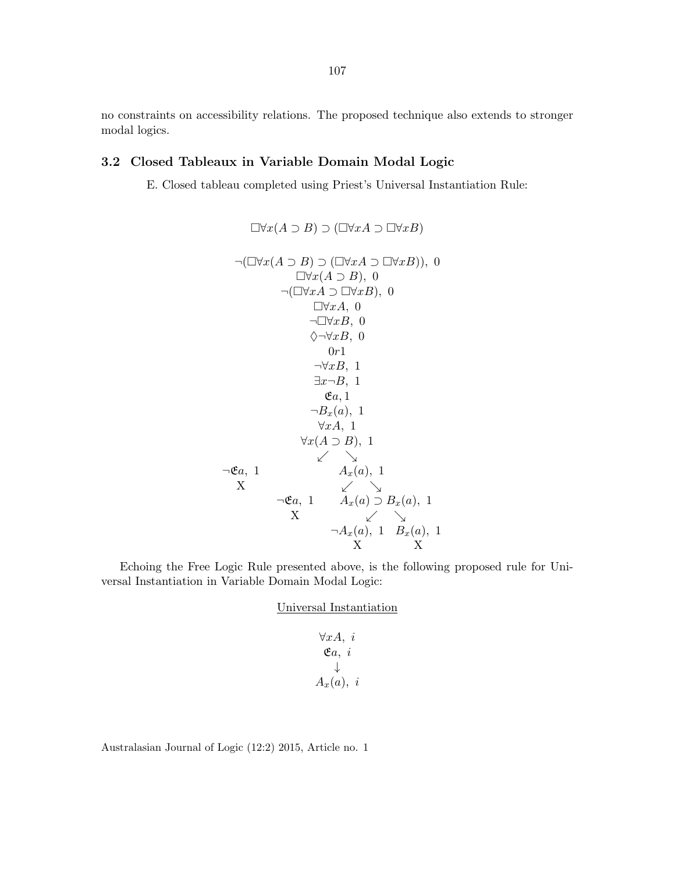no constraints on accessibility relations. The proposed technique also extends to stronger modal logics.

## 3.2 Closed Tableaux in Variable Domain Modal Logic

E. Closed tableau completed using Priest's Universal Instantiation Rule:

$$
\Box \forall x(A \supset B) \supset (\Box \forall x A \supset \Box \forall x B)
$$
  
\n
$$
\neg(\Box \forall x(A \supset B) \supset (\Box \forall x A \supset \Box \forall x B)), 0
$$
  
\n
$$
\Box \forall x(A \supset B), 0
$$
  
\n
$$
\neg(\Box \forall x A \supset \Box \forall x B), 0
$$
  
\n
$$
\Box \forall x A, 0
$$
  
\n
$$
\neg \Box \forall x B, 0
$$
  
\n
$$
\Diamond \neg \forall x B, 0
$$
  
\n
$$
0r1
$$
  
\n
$$
\neg \forall x B, 1
$$
  
\n
$$
\exists x \neg B, 1
$$
  
\n
$$
\forall x A, 1
$$
  
\n
$$
\forall x A, 1
$$
  
\n
$$
\forall x(A \supset B), 1
$$
  
\n
$$
\neg \forall x B, 1
$$
  
\n
$$
\forall x A, 1
$$
  
\n
$$
\forall x(A \supset B), 1
$$
  
\n
$$
\neg \forall x B, 1
$$
  
\n
$$
\forall x A, 1
$$
  
\n
$$
\forall x(A \supset B), 1
$$
  
\n
$$
\neg \forall x B, 1
$$
  
\n
$$
\forall x A, 1
$$
  
\n
$$
\forall x (A \supset B), 1
$$
  
\n
$$
\neg \forall x B, 1
$$
  
\n
$$
\forall x A, 1
$$
  
\n
$$
\forall x (A \supset B), 1
$$
  
\n
$$
\neg \forall x B, 1
$$
  
\n
$$
\forall x (A \supset B), 1
$$
  
\n
$$
\neg \forall x B, 1
$$
  
\n
$$
\forall x B, 1
$$
  
\n
$$
\forall x (A \supset B), 1
$$
  
\n
$$
\forall x (A \supset B), 1
$$
  
\n
$$
\neg \forall x B, 1
$$
  
\n
$$
\forall x (A \supset B), 1
$$
  
\n
$$
\forall x (A \supset B), 1
$$
  
\n
$$
\neg \forall x B,
$$

Echoing the Free Logic Rule presented above, is the following proposed rule for Universal Instantiation in Variable Domain Modal Logic:

Universal Instantiation

$$
\forall x A, i
$$
  
\n
$$
\mathfrak{E}a, i
$$
  
\n
$$
\downarrow
$$
  
\n
$$
A_x(a), i
$$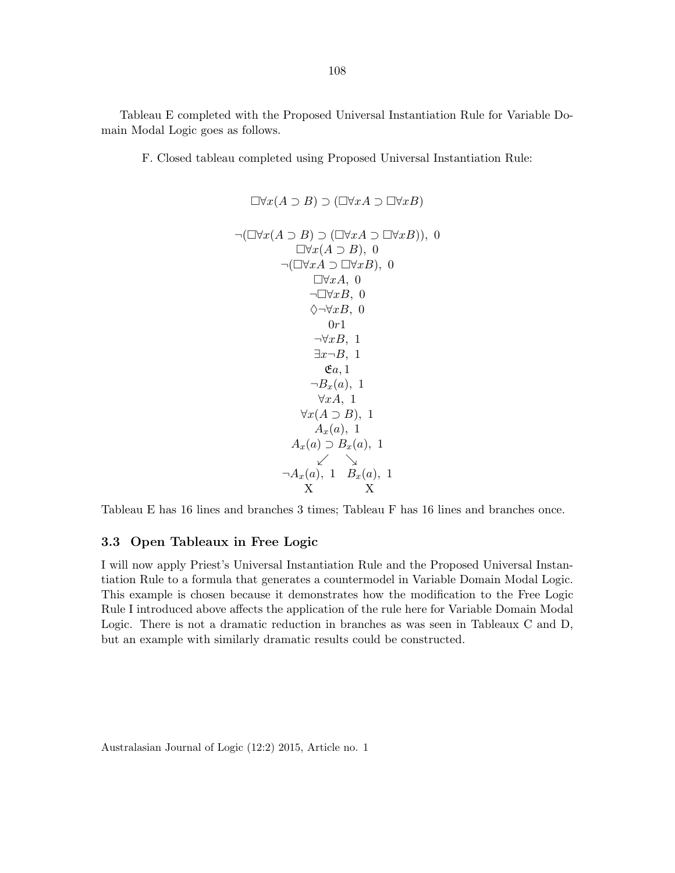Tableau E completed with the Proposed Universal Instantiation Rule for Variable Domain Modal Logic goes as follows.

F. Closed tableau completed using Proposed Universal Instantiation Rule:

$$
\Box \forall x(A \supset B) \supset (\Box \forall xA \supset \Box \forall xB)
$$
  
\n
$$
\neg(\Box \forall x(A \supset B) \supset (\Box \forall xA \supset \Box \forall xB)), 0
$$
  
\n
$$
\Box \forall x(A \supset B), 0
$$
  
\n
$$
\neg(\Box \forall xA \supset \Box \forall xB), 0
$$
  
\n
$$
\Box \forall xA, 0
$$
  
\n
$$
\neg \Box \forall xB, 0
$$
  
\n
$$
\Diamond \neg \forall xB, 0
$$
  
\n
$$
0r1
$$
  
\n
$$
\neg \forall xB, 1
$$
  
\n
$$
\exists x \neg B, 1
$$
  
\n
$$
\forall xA, 1
$$
  
\n
$$
\forall x(A \supset B), 1
$$
  
\n
$$
\forall xA, 1
$$
  
\n
$$
\forall x(A \supset B, 1
$$
  
\n
$$
\forall x(A, 1)
$$
  
\n
$$
A_x(a), 1
$$
  
\n
$$
A_x(a) \supset B_x(a), 1
$$
  
\n
$$
\angle \searrow
$$
  
\n
$$
\neg A_x(a), 1 B_x(a), 1
$$
  
\nX

Tableau E has 16 lines and branches 3 times; Tableau F has 16 lines and branches once.

## 3.3 Open Tableaux in Free Logic

I will now apply Priest's Universal Instantiation Rule and the Proposed Universal Instantiation Rule to a formula that generates a countermodel in Variable Domain Modal Logic. This example is chosen because it demonstrates how the modification to the Free Logic Rule I introduced above affects the application of the rule here for Variable Domain Modal Logic. There is not a dramatic reduction in branches as was seen in Tableaux C and D, but an example with similarly dramatic results could be constructed.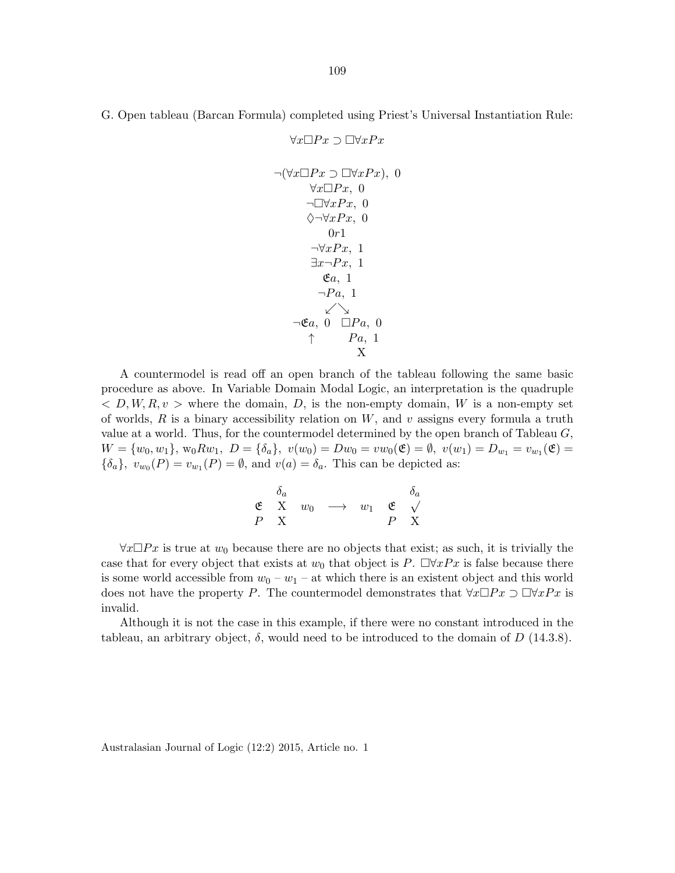G. Open tableau (Barcan Formula) completed using Priest's Universal Instantiation Rule:

 $\forall x \Box Px \supset \Box \forall x Px$  $\neg(\forall x \Box Px \supset \Box \forall x Px), 0$  $\forall x \Box Px, 0$  $\neg \Box \forall x P x, 0$  $\diamondsuit ∎\forall x Px, 0$  $0r1$  $\neg \forall x Px, 1$  $\exists x \neg Px, 1$  $\mathfrak{E}a, 1$  $\neg Pa$ , 1 .&  $\neg \mathfrak{E}a$ , 0  $\Box Pa$ , 0  $\uparrow$  Pa, 1 X

A countermodel is read off an open branch of the tableau following the same basic procedure as above. In Variable Domain Modal Logic, an interpretation is the quadruple  $\langle D, W, R, v \rangle$  where the domain, D, is the non-empty domain, W is a non-empty set of worlds, R is a binary accessibility relation on  $W$ , and v assigns every formula a truth value at a world. Thus, for the countermodel determined by the open branch of Tableau  $G$ ,  $W = \{w_0, w_1\}, w_0 R w_1, D = \{\delta_a\}, v(w_0) = Dw_0 = vw_0$  $\mathfrak{E}) = \emptyset, v(w_1) = D_{w_1} = v_{w_1}(\mathfrak{E}) =$  $\{\delta_a\}, v_{w_0}(P) = v_{w_1}(P) = \emptyset$ , and  $v(a) = \delta_a$ . This can be depicted as:

| $\delta_a$ |                                        |                                   |   | $\delta_a$ |
|------------|----------------------------------------|-----------------------------------|---|------------|
|            | $\mathfrak{E}$ X $w_0 \longrightarrow$ | $w_1 \in \mathfrak{C}$ $\sqrt{ }$ |   |            |
| P X        |                                        |                                   | P | X          |

 $\forall x \Box Px$  is true at  $w_0$  because there are no objects that exist; as such, it is trivially the case that for every object that exists at  $w_0$  that object is P.  $\Box \forall xPx$  is false because there is some world accessible from  $w_0 - w_1 -$  at which there is an existent object and this world does not have the property P. The countermodel demonstrates that  $\forall x \Box Px \supset \Box \forall x Px$  is invalid.

Although it is not the case in this example, if there were no constant introduced in the tableau, an arbitrary object,  $\delta$ , would need to be introduced to the domain of D (14.3.8).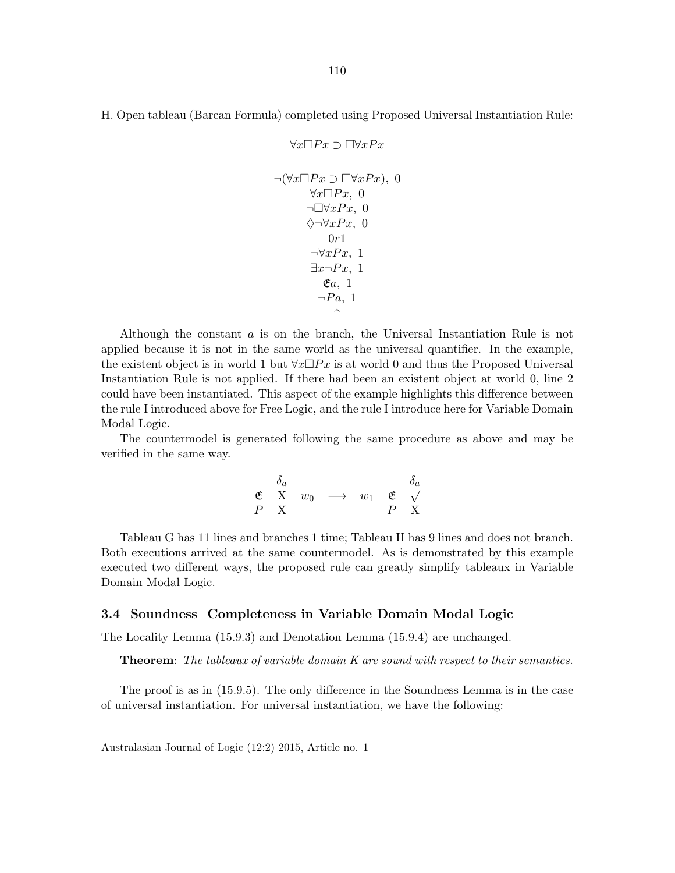$\forall x \Box Px \supset \Box \forall x Px$ 

$$
\neg(\forall x \Box Px \supset \Box \forall x Px), 0
$$
  
\n
$$
\neg \Box \forall x Px, 0
$$
  
\n
$$
\Diamond \neg \forall x Px, 0
$$
  
\n
$$
\Diamond \neg \forall x Px, 1
$$
  
\n
$$
\exists x \neg Px, 1
$$
  
\n
$$
\mathfrak{E}a, 1
$$
  
\n
$$
\uparrow
$$

Although the constant a is on the branch, the Universal Instantiation Rule is not applied because it is not in the same world as the universal quantifier. In the example, the existent object is in world 1 but  $\forall x \Box Px$  is at world 0 and thus the Proposed Universal Instantiation Rule is not applied. If there had been an existent object at world 0, line 2 could have been instantiated. This aspect of the example highlights this difference between the rule I introduced above for Free Logic, and the rule I introduce here for Variable Domain Modal Logic.

The countermodel is generated following the same procedure as above and may be verified in the same way.

$$
\begin{array}{ccccc}\n&\delta_a & & & \delta_a \\
\mathfrak{E} & \mathrm{X} & w_0 & \longrightarrow & w_1 & \mathfrak{E} & \sqrt{} \\
P & \mathrm{X} & & & P & \mathrm{X}\n\end{array}
$$

Tableau G has 11 lines and branches 1 time; Tableau H has 9 lines and does not branch. Both executions arrived at the same countermodel. As is demonstrated by this example executed two different ways, the proposed rule can greatly simplify tableaux in Variable Domain Modal Logic.

#### 3.4 Soundness Completeness in Variable Domain Modal Logic

The Locality Lemma (15.9.3) and Denotation Lemma (15.9.4) are unchanged.

Theorem: The tableaux of variable domain K are sound with respect to their semantics.

The proof is as in (15.9.5). The only difference in the Soundness Lemma is in the case of universal instantiation. For universal instantiation, we have the following: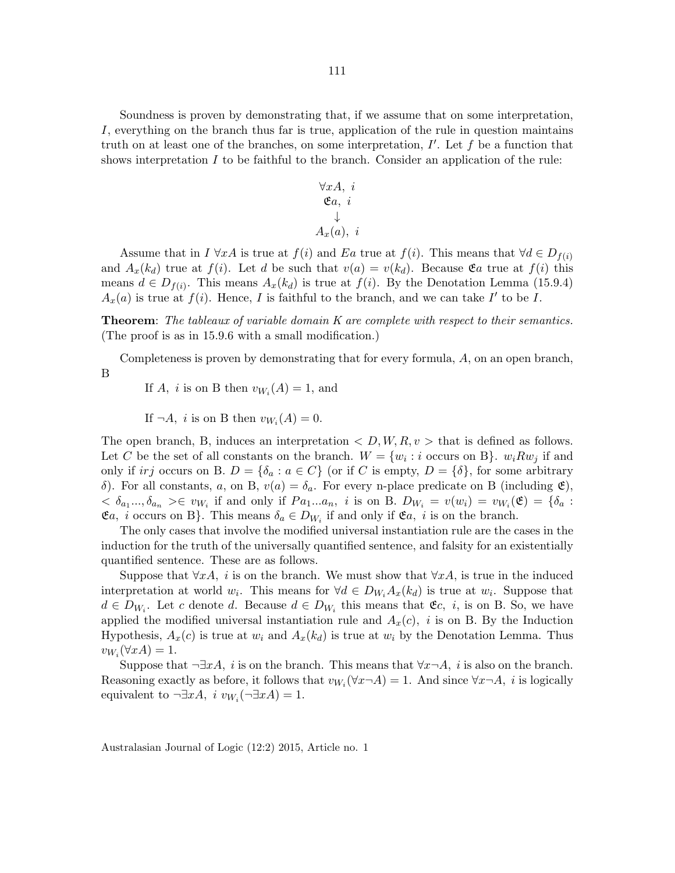Soundness is proven by demonstrating that, if we assume that on some interpretation, I, everything on the branch thus far is true, application of the rule in question maintains truth on at least one of the branches, on some interpretation,  $I'$ . Let  $f$  be a function that shows interpretation  $I$  to be faithful to the branch. Consider an application of the rule:

$$
\forall x A, i
$$
  
\n
$$
\mathfrak{E}a, i
$$
  
\n
$$
\downarrow
$$
  
\n
$$
A_x(a), i
$$

Assume that in  $I \forall x A$  is true at  $f(i)$  and Ea true at  $f(i)$ . This means that  $\forall d \in D_{f(i)}$ and  $A_x(k_d)$  true at  $f(i)$ . Let d be such that  $v(a) = v(k_d)$ . Because  $\mathfrak{E}a$  true at  $f(i)$  this means  $d \in D_{f(i)}$ . This means  $A_x(k_d)$  is true at  $f(i)$ . By the Denotation Lemma (15.9.4)  $A_x(a)$  is true at  $f(i)$ . Hence, I is faithful to the branch, and we can take I' to be I.

**Theorem:** The tableaux of variable domain K are complete with respect to their semantics. (The proof is as in 15.9.6 with a small modification.)

Completeness is proven by demonstrating that for every formula, A, on an open branch, B

If A, *i* is on B then  $v_{W_i}(A) = 1$ , and

If  $\neg A$ , *i* is on B then  $v_{W_i}(A) = 0$ .

The open branch, B, induces an interpretation  $\langle D, W, R, v \rangle$  that is defined as follows. Let C be the set of all constants on the branch.  $W = \{w_i : i \text{ occurs on B}\}\$ .  $w_i R w_j$  if and only if irj occurs on B.  $D = \{\delta_a : a \in C\}$  (or if C is empty,  $D = \{\delta\}$ , for some arbitrary δ). For all constants, a, on B,  $v(a) = \delta_a$ . For every n-place predicate on B (including **ε**),  $0 < \delta_{a_1} \ldots, \delta_{a_n} >\in v_{W_i}$  if and only if  $Pa_1 \ldots a_n$ , i is on B.  $D_{W_i} = v(w_i) = v_{W_i}(\mathfrak{E}) = \{\delta_a :$  $\mathfrak{E}a$ , *i* occurs on B}. This means  $\delta_a \in D_{W_i}$  if and only if  $\mathfrak{E}a$ , *i* is on the branch.

The only cases that involve the modified universal instantiation rule are the cases in the induction for the truth of the universally quantified sentence, and falsity for an existentially quantified sentence. These are as follows.

Suppose that  $\forall x A$ , *i* is on the branch. We must show that  $\forall x A$ , is true in the induced interpretation at world  $w_i$ . This means for  $\forall d \in D_{W_i} A_x(k_d)$  is true at  $w_i$ . Suppose that  $d \in D_{W_i}$ . Let c denote d. Because  $d \in D_{W_i}$  this means that  $\mathfrak{E}c, i$ , is on B. So, we have applied the modified universal instantiation rule and  $A_x(c)$ , i is on B. By the Induction Hypothesis,  $A_x(c)$  is true at  $w_i$  and  $A_x(k_d)$  is true at  $w_i$  by the Denotation Lemma. Thus  $v_{W_i}(\forall x A) = 1.$ 

Suppose that  $\neg \exists x A$ , *i* is on the branch. This means that  $\forall x \neg A$ , *i* is also on the branch. Reasoning exactly as before, it follows that  $v_{W_i}(\forall x \neg A) = 1$ . And since  $\forall x \neg A$ , i is logically equivalent to  $\neg \exists x A, i \ v_{W_i}(\neg \exists x A) = 1.$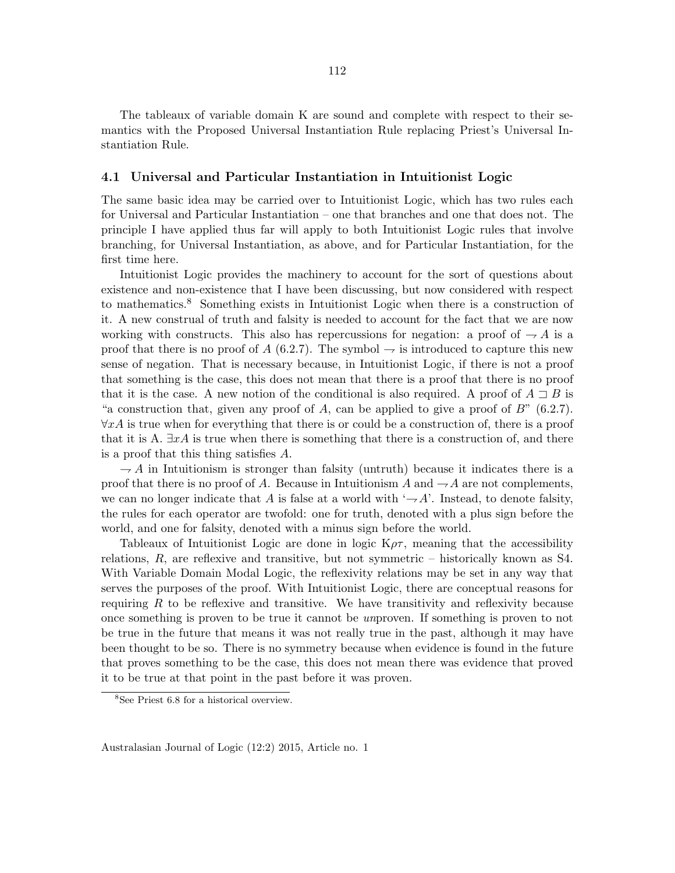The tableaux of variable domain K are sound and complete with respect to their semantics with the Proposed Universal Instantiation Rule replacing Priest's Universal Instantiation Rule.

### 4.1 Universal and Particular Instantiation in Intuitionist Logic

The same basic idea may be carried over to Intuitionist Logic, which has two rules each for Universal and Particular Instantiation – one that branches and one that does not. The principle I have applied thus far will apply to both Intuitionist Logic rules that involve branching, for Universal Instantiation, as above, and for Particular Instantiation, for the first time here.

Intuitionist Logic provides the machinery to account for the sort of questions about existence and non-existence that I have been discussing, but now considered with respect to mathematics.<sup>8</sup> Something exists in Intuitionist Logic when there is a construction of it. A new construal of truth and falsity is needed to account for the fact that we are now working with constructs. This also has repercussions for negation: a proof of  $\rightarrow A$  is a proof that there is no proof of A (6.2.7). The symbol  $\rightarrow$  is introduced to capture this new sense of negation. That is necessary because, in Intuitionist Logic, if there is not a proof that something is the case, this does not mean that there is a proof that there is no proof that it is the case. A new notion of the conditional is also required. A proof of  $A \sqsupset B$  is "a construction that, given any proof of A, can be applied to give a proof of  $B$ " (6.2.7).  $\forall x \hat{A}$  is true when for everything that there is or could be a construction of, there is a proof that it is A.  $\exists x \hat{A}$  is true when there is something that there is a construction of, and there is a proof that this thing satisfies A.

 $\rightarrow$  A in Intuitionism is stronger than falsity (untruth) because it indicates there is a proof that there is no proof of A. Because in Intuitionism A and  $-A$  are not complements, we can no longer indicate that A is false at a world with  $-\mathcal{A}'$ . Instead, to denote falsity, the rules for each operator are twofold: one for truth, denoted with a plus sign before the world, and one for falsity, denoted with a minus sign before the world.

Tableaux of Intuitionist Logic are done in logic  $K\rho\tau$ , meaning that the accessibility relations, R, are reflexive and transitive, but not symmetric – historically known as S4. With Variable Domain Modal Logic, the reflexivity relations may be set in any way that serves the purposes of the proof. With Intuitionist Logic, there are conceptual reasons for requiring  $R$  to be reflexive and transitive. We have transitivity and reflexivity because once something is proven to be true it cannot be unproven. If something is proven to not be true in the future that means it was not really true in the past, although it may have been thought to be so. There is no symmetry because when evidence is found in the future that proves something to be the case, this does not mean there was evidence that proved it to be true at that point in the past before it was proven.

<sup>8</sup>See Priest 6.8 for a historical overview.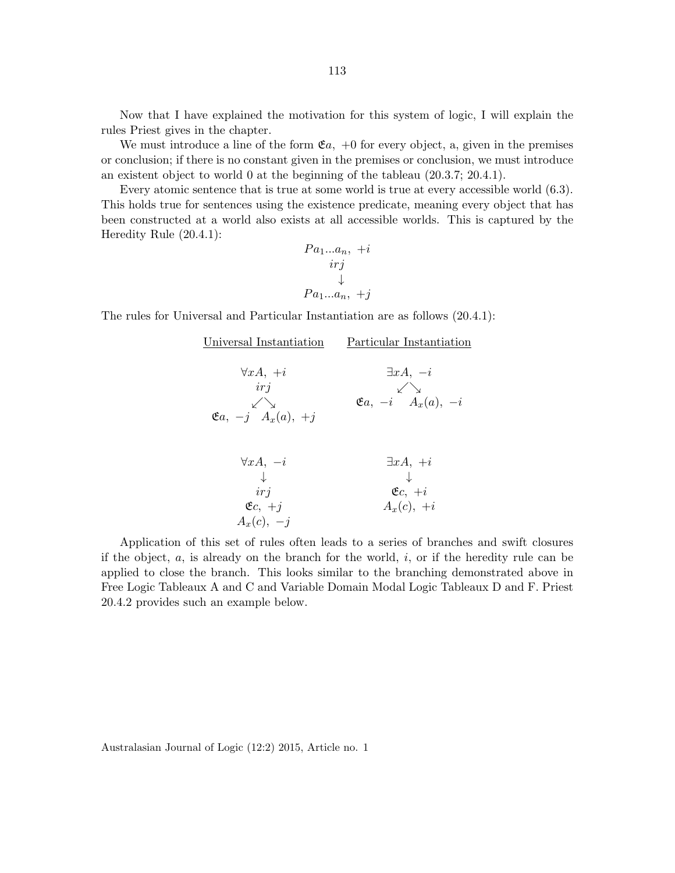Now that I have explained the motivation for this system of logic, I will explain the rules Priest gives in the chapter.

We must introduce a line of the form  $\mathfrak{E}a$ ,  $+0$  for every object, a, given in the premises or conclusion; if there is no constant given in the premises or conclusion, we must introduce an existent object to world 0 at the beginning of the tableau (20.3.7; 20.4.1).

Every atomic sentence that is true at some world is true at every accessible world (6.3). This holds true for sentences using the existence predicate, meaning every object that has been constructed at a world also exists at all accessible worlds. This is captured by the Heredity Rule (20.4.1):

$$
Pa_1...a_n, +i
$$
  

$$
irj
$$
  

$$
\downarrow
$$
  

$$
Pa_1...a_n, +j
$$

The rules for Universal and Particular Instantiation are as follows (20.4.1):

| Universal Instantiation                                                        | Particular Instantiation                                                  |
|--------------------------------------------------------------------------------|---------------------------------------------------------------------------|
| $\forall x A, +i$<br>irj<br>$\swarrow$<br>$\mathfrak{E}a, -j \quad A_x(a), +j$ | $\exists xA, -i$<br>$\mathfrak{E}a, -i \overbrace{A_x(a), -i}^{\swarrow}$ |
| $\forall x A, -i$<br>irj<br>$\mathfrak{E}c, +j$<br>$A_x(c), -i$                | $\exists xA, +i$<br>$\mathfrak{E}c, +i$<br>$A_x(c)$ , +i                  |

Application of this set of rules often leads to a series of branches and swift closures if the object,  $a$ , is already on the branch for the world,  $i$ , or if the heredity rule can be applied to close the branch. This looks similar to the branching demonstrated above in Free Logic Tableaux A and C and Variable Domain Modal Logic Tableaux D and F. Priest 20.4.2 provides such an example below.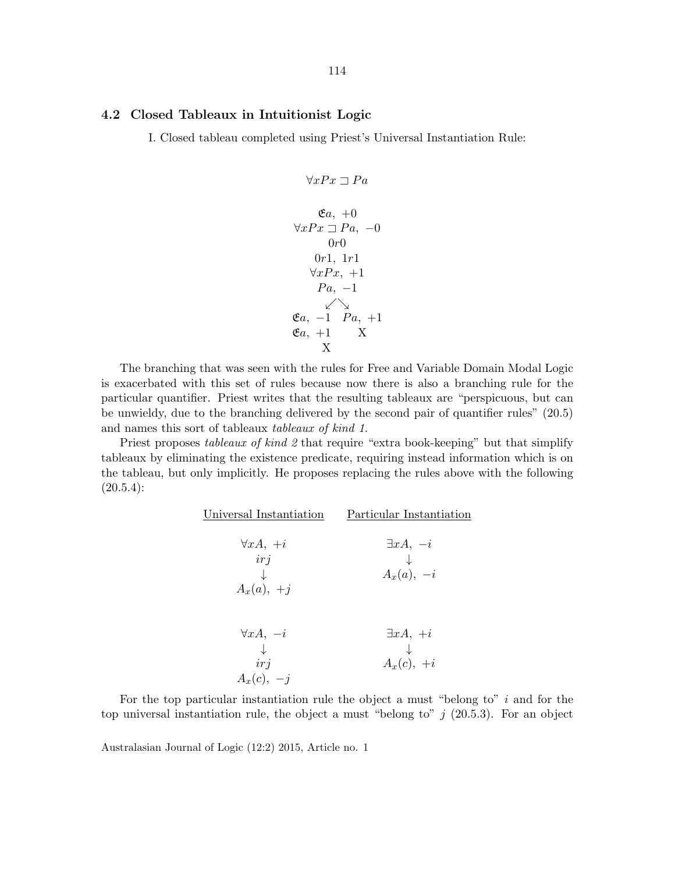## 4.2 Closed Tableaux in Intuitionist Logic

I. Closed tableau completed using Priest's Universal Instantiation Rule:

$$
\forall xPx \sqsupset Pa
$$

$$
\mathfrak{E}a, +0
$$

$$
\forall xPx \sqsupset Pa, -0
$$

$$
0r0
$$

$$
0r1, 1r1
$$

$$
\forall xPx, +1
$$

$$
Pa, -1
$$

$$
\mathfrak{E}a, -1 \quad Pa, +1
$$

$$
\mathfrak{E}a, +1 \qquad X
$$

$$
X
$$

The branching that was seen with the rules for Free and Variable Domain Modal Logic is exacerbated with this set of rules because now there is also a branching rule for the particular quantifier. Priest writes that the resulting tableaux are "perspicuous, but can be unwieldy, due to the branching delivered by the second pair of quantifier rules" (20.5) and names this sort of tableaux tableaux of kind 1.

Priest proposes tableaux of kind 2 that require "extra book-keeping" but that simplify tableaux by eliminating the existence predicate, requiring instead information which is on the tableau, but only implicitly. He proposes replacing the rules above with the following  $(20.5.4):$ 

| $\exists xA, -i$<br>$\downarrow$<br>$A_x(a), -i$ |
|--------------------------------------------------|
|                                                  |
|                                                  |
| $\exists xA, +i$                                 |
| $\downarrow$<br>$A_x(c)$ , $+i$                  |
|                                                  |

For the top particular instantiation rule the object a must "belong to"  $i$  and for the top universal instantiation rule, the object a must "belong to"  $j$  (20.5.3). For an object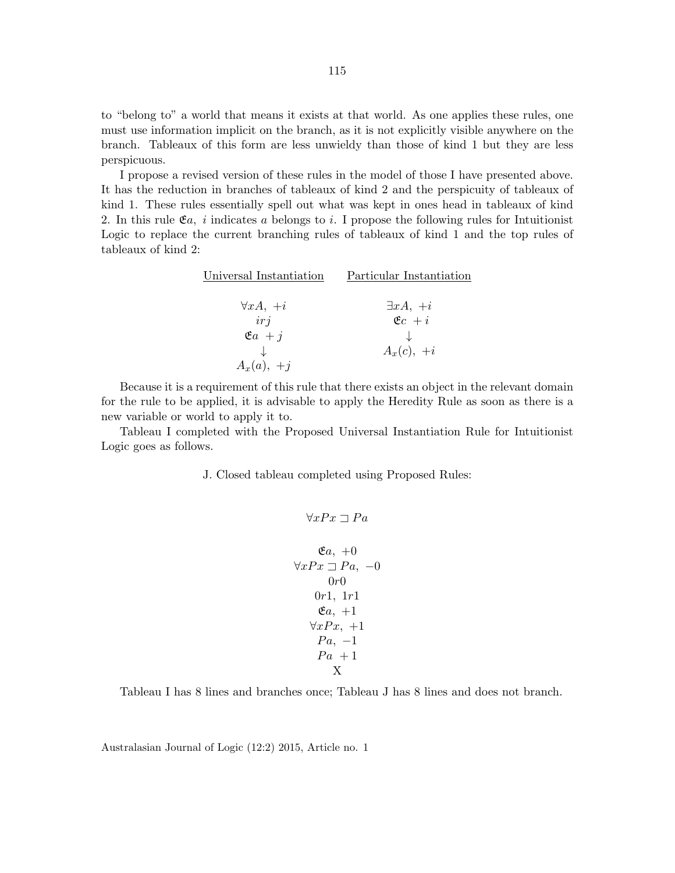to "belong to" a world that means it exists at that world. As one applies these rules, one must use information implicit on the branch, as it is not explicitly visible anywhere on the branch. Tableaux of this form are less unwieldy than those of kind 1 but they are less perspicuous.

I propose a revised version of these rules in the model of those I have presented above. It has the reduction in branches of tableaux of kind 2 and the perspicuity of tableaux of kind 1. These rules essentially spell out what was kept in ones head in tableaux of kind 2. In this rule  $\mathfrak{E}_a$ , i indicates a belongs to i. I propose the following rules for Intuitionist Logic to replace the current branching rules of tableaux of kind 1 and the top rules of tableaux of kind 2:

| Universal Instantiation | Particular Instantiation |
|-------------------------|--------------------------|
|                         |                          |
| $\forall x A, +i$       | $\exists xA, +i$         |
| irj                     | $\mathfrak{E}c + i$      |
| $\mathfrak{E}a + j$     |                          |
|                         | $A_x(c)$ , $+i$          |
| $A_x(a), +j$            |                          |

Because it is a requirement of this rule that there exists an object in the relevant domain for the rule to be applied, it is advisable to apply the Heredity Rule as soon as there is a new variable or world to apply it to.

Tableau I completed with the Proposed Universal Instantiation Rule for Intuitionist Logic goes as follows.

J. Closed tableau completed using Proposed Rules:

$$
\forall xPx \sqsupset Pa
$$

$$
\mathfrak{E}a, +0
$$

$$
\forall xPx \sqsupset Pa, -0
$$

$$
0r0
$$

$$
0r1, 1r1
$$

$$
\mathfrak{E}a, +1
$$

$$
\forall xPx, +1
$$

$$
Pa, -1
$$

$$
Pa +1
$$

$$
X
$$

Tableau I has 8 lines and branches once; Tableau J has 8 lines and does not branch.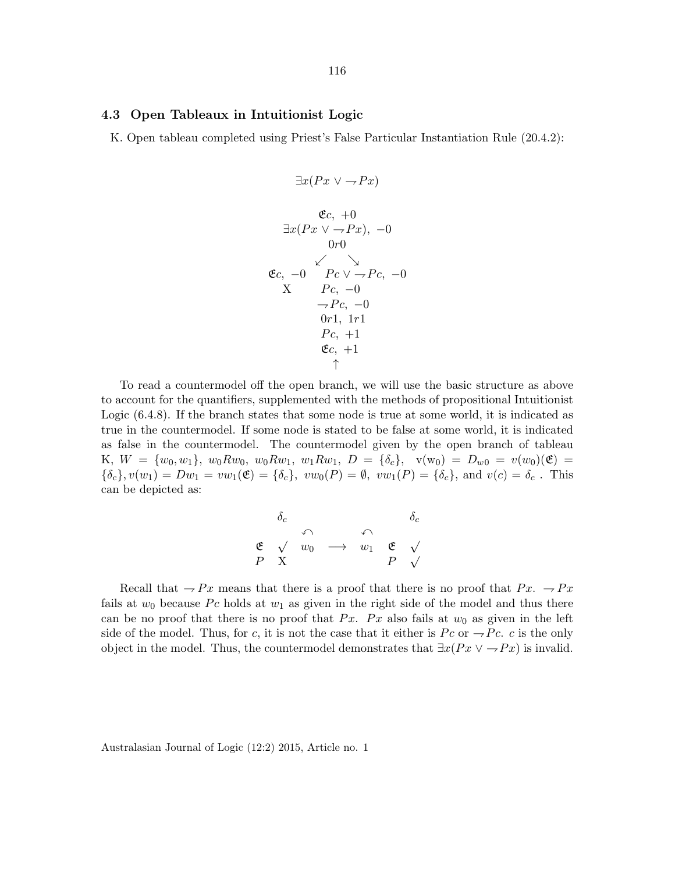#### 4.3 Open Tableaux in Intuitionist Logic

K. Open tableau completed using Priest's False Particular Instantiation Rule (20.4.2):

$$
\exists x (Px \lor \neg Px)
$$
\n
$$
\mathfrak{E}c, +0
$$
\n
$$
\exists x (Px \lor \neg Px), -0
$$
\n
$$
0r0
$$
\n
$$
\mathfrak{E}c, -0 \quad Pc \lor \neg Pc, -0
$$
\n
$$
\neg Pc, -0
$$
\n
$$
\neg Pc, -0
$$
\n
$$
0r1, 1r1
$$
\n
$$
Pc, +1
$$
\n
$$
\mathfrak{E}c, +1
$$
\n
$$
\uparrow
$$

To read a countermodel off the open branch, we will use the basic structure as above to account for the quantifiers, supplemented with the methods of propositional Intuitionist Logic (6.4.8). If the branch states that some node is true at some world, it is indicated as true in the countermodel. If some node is stated to be false at some world, it is indicated as false in the countermodel. The countermodel given by the open branch of tableau K,  $W = \{w_0, w_1\}$ ,  $w_0 R w_0$ ,  $w_0 R w_1$ ,  $w_1 R w_1$ ,  $D = \{\delta_c\}$ ,  $v(w_0) = D_{w0} = v(w_0)(\mathfrak{E}) =$  $\{\delta_c\}, v(w_1) = Dw_1 = vw_1(\mathfrak{E}) = \{\delta_c\}, vw_0(P) = \emptyset, vw_1(P) = \{\delta_c\}, \text{ and } v(c) = \delta_c$ . This can be depicted as:

$$
\begin{array}{ccc}\n\delta_c & & \delta_c \\
\mathfrak{E} & \sqrt{w_0} & \longrightarrow & w_1 & \mathfrak{E} & \sqrt{p} \\
P & X & & & P & \sqrt{p} \\
\end{array}
$$

Recall that  $-Px$  means that there is a proof that there is no proof that  $Px. -Px$ fails at  $w_0$  because Pc holds at  $w_1$  as given in the right side of the model and thus there can be no proof that there is no proof that Px. Px also fails at  $w_0$  as given in the left side of the model. Thus, for c, it is not the case that it either is  $P_c$  or  $\rightarrow P_c$ . c is the only object in the model. Thus, the countermodel demonstrates that  $\exists x (Px \vee \neg Px)$  is invalid.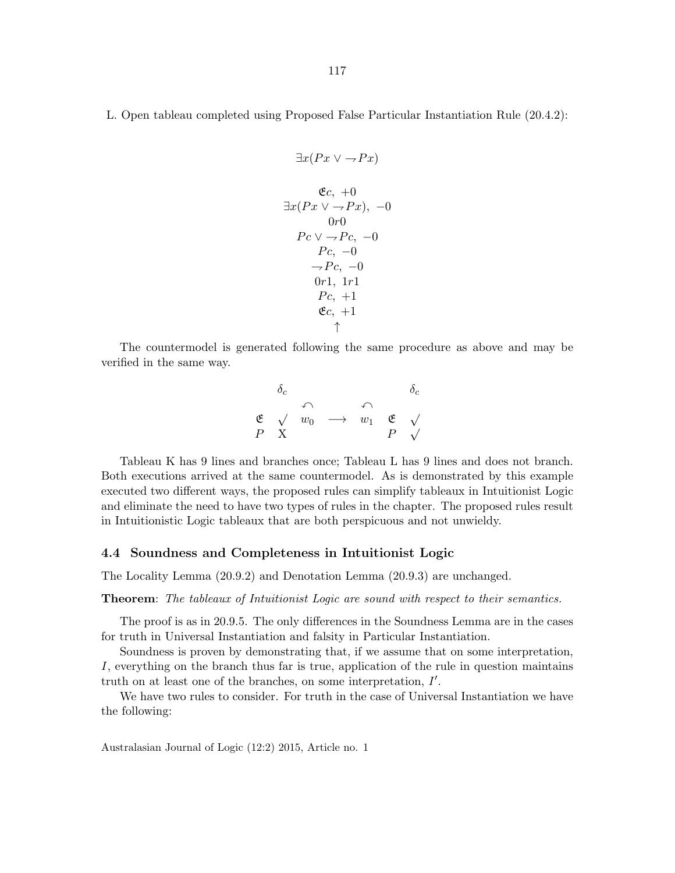L. Open tableau completed using Proposed False Particular Instantiation Rule (20.4.2):

$$
\exists x (Px \lor \neg Px)
$$
\n
$$
\mathfrak{E}c, +0
$$
\n
$$
\exists x (Px \lor \neg Px), -0
$$
\n
$$
0r0
$$
\n
$$
Pc \lor \neg Pc, -0
$$
\n
$$
Pc, -0
$$
\n
$$
\neg Pc, -0
$$
\n
$$
0r1, 1r1
$$
\n
$$
Pc, +1
$$
\n
$$
\mathfrak{E}c, +1
$$
\n
$$
\uparrow
$$

The countermodel is generated following the same procedure as above and may be verified in the same way.

$$
\begin{array}{ccc}\n\delta_c & & \delta_c \\
\mathfrak{E} & \sqrt{w_0} & \longrightarrow & w_1 & \mathfrak{E} & \sqrt{p} \\
P & X & & P & \sqrt{p} & \sqrt{p} \\
\end{array}
$$

Tableau K has 9 lines and branches once; Tableau L has 9 lines and does not branch. Both executions arrived at the same countermodel. As is demonstrated by this example executed two different ways, the proposed rules can simplify tableaux in Intuitionist Logic and eliminate the need to have two types of rules in the chapter. The proposed rules result in Intuitionistic Logic tableaux that are both perspicuous and not unwieldy.

#### 4.4 Soundness and Completeness in Intuitionist Logic

The Locality Lemma (20.9.2) and Denotation Lemma (20.9.3) are unchanged.

Theorem: The tableaux of Intuitionist Logic are sound with respect to their semantics.

The proof is as in 20.9.5. The only differences in the Soundness Lemma are in the cases for truth in Universal Instantiation and falsity in Particular Instantiation.

Soundness is proven by demonstrating that, if we assume that on some interpretation, I, everything on the branch thus far is true, application of the rule in question maintains truth on at least one of the branches, on some interpretation,  $I'$ .

We have two rules to consider. For truth in the case of Universal Instantiation we have the following: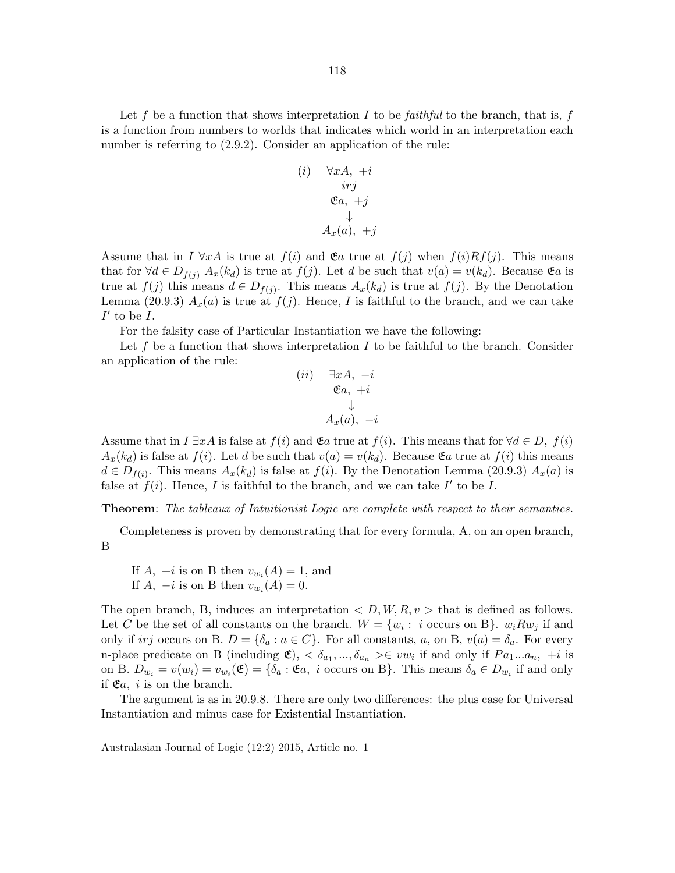Let f be a function that shows interpretation I to be faithful to the branch, that is, f is a function from numbers to worlds that indicates which world in an interpretation each number is referring to  $(2.9.2)$ . Consider an application of the rule:

(i) 
$$
\forall x A, +i
$$
  
\n $irj$   
\n $\mathfrak{E}a, +j$   
\n $\downarrow$   
\n $A_x(a), +j$ 

Assume that in  $I \forall x A$  is true at  $f(i)$  and  $\mathfrak{E}a$  true at  $f(j)$  when  $f(i)Rf(j)$ . This means that for  $\forall d \in D_{f(j)}$   $A_x(k_d)$  is true at  $f(j)$ . Let d be such that  $v(a) = v(k_d)$ . Because  $\mathfrak{E}a$  is true at  $f(j)$  this means  $d \in D_{f(j)}$ . This means  $A_x(k_d)$  is true at  $f(j)$ . By the Denotation Lemma (20.9.3)  $A_x(a)$  is true at  $f(j)$ . Hence, I is faithful to the branch, and we can take  $I'$  to be  $I$ .

For the falsity case of Particular Instantiation we have the following:

Let f be a function that shows interpretation  $I$  to be faithful to the branch. Consider an application of the rule:

$$
\begin{matrix} (ii) & \exists x A, \ -i \\ & \mathfrak{E} a, \ +i \\ & \downarrow \\ & A_x(a), \ -i \end{matrix}
$$

Assume that in  $I \exists x A$  is false at  $f(i)$  and  $\mathfrak{E}a$  true at  $f(i)$ . This means that for  $\forall d \in D$ ,  $f(i)$  $A_x(k_d)$  is false at  $f(i)$ . Let d be such that  $v(a) = v(k_d)$ . Because  $\mathfrak{E}a$  true at  $f(i)$  this means  $d \in D_{f(i)}$ . This means  $A_x(k_d)$  is false at  $f(i)$ . By the Denotation Lemma (20.9.3)  $A_x(a)$  is false at  $f(i)$ . Hence, I is faithful to the branch, and we can take I' to be I.

Theorem: The tableaux of Intuitionist Logic are complete with respect to their semantics.

Completeness is proven by demonstrating that for every formula, A, on an open branch, B

If  $A$ ,  $+i$  is on B then  $v_{w_i}(A) = 1$ , and If  $A$ ,  $-i$  is on B then  $v_{w_i}(A) = 0$ .

The open branch, B, induces an interpretation  $\langle D, W, R, v \rangle$  that is defined as follows. Let C be the set of all constants on the branch.  $W = \{w_i : i \text{ occurs on B}\}\$ .  $w_i R w_j$  if and only if irj occurs on B.  $D = \{\delta_a : a \in C\}$ . For all constants, a, on B,  $v(a) = \delta_a$ . For every n-place predicate on B (including  $\mathfrak{E}$ ),  $<\delta_{a_1},...,\delta_{a_n}>\in vw_i$  if and only if  $Pa_1...a_n$ ,  $+i$  is on B.  $D_{w_i} = v(w_i) = v_{w_i}(\mathfrak{E}) = {\delta_a : \mathfrak{E}_a, i \text{ occurs on B}}$ . This means  $\delta_a \in D_{w_i}$  if and only if  $\mathfrak{E}a$ , *i* is on the branch.

The argument is as in 20.9.8. There are only two differences: the plus case for Universal Instantiation and minus case for Existential Instantiation.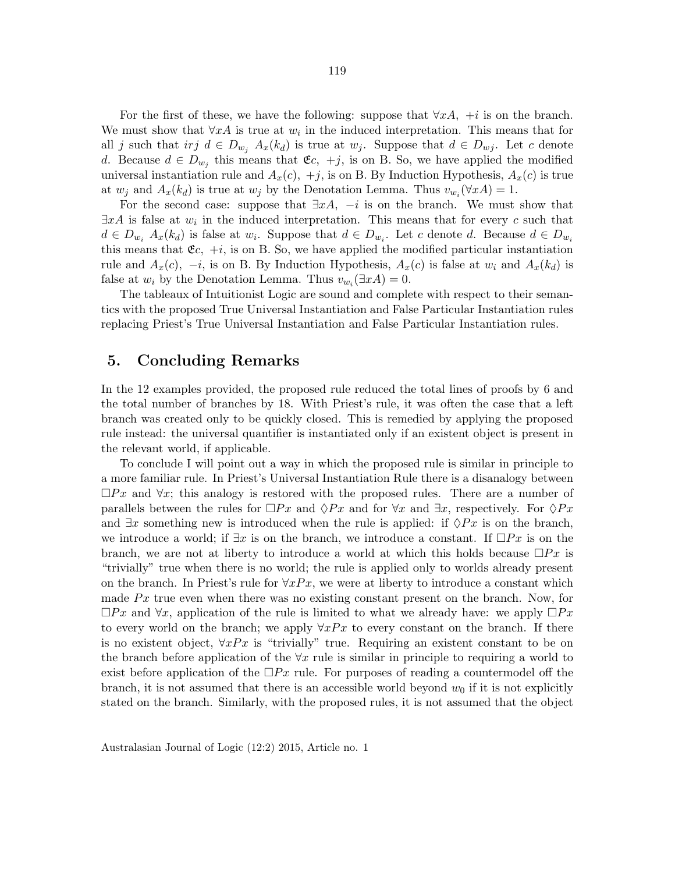For the first of these, we have the following: suppose that  $\forall x A$ , +i is on the branch. We must show that  $\forall x A$  is true at  $w_i$  in the induced interpretation. This means that for all j such that irj  $d \in D_{w_j}$   $A_x(k_d)$  is true at  $w_j$ . Suppose that  $d \in D_{w_j}$ . Let c denote d. Because  $d \in D_{w_j}$  this means that  $\mathfrak{E}c, +j$ , is on B. So, we have applied the modified universal instantiation rule and  $A_x(c)$ ,  $+j$ , is on B. By Induction Hypothesis,  $A_x(c)$  is true at  $w_j$  and  $A_x(k_d)$  is true at  $w_j$  by the Denotation Lemma. Thus  $v_{w_i}(\forall x A) = 1$ .

For the second case: suppose that  $\exists x A$ ,  $-i$  is on the branch. We must show that  $\exists x A$  is false at  $w_i$  in the induced interpretation. This means that for every c such that  $d \in D_{w_i}$   $A_x(k_d)$  is false at  $w_i$ . Suppose that  $d \in D_{w_i}$ . Let c denote d. Because  $d \in D_{w_i}$ this means that  $\mathfrak{E}c$ ,  $+i$ , is on B. So, we have applied the modified particular instantiation rule and  $A_x(c)$ ,  $-i$ , is on B. By Induction Hypothesis,  $A_x(c)$  is false at  $w_i$  and  $A_x(k_d)$  is false at  $w_i$  by the Denotation Lemma. Thus  $v_{w_i}(\exists x A) = 0$ .

The tableaux of Intuitionist Logic are sound and complete with respect to their semantics with the proposed True Universal Instantiation and False Particular Instantiation rules replacing Priest's True Universal Instantiation and False Particular Instantiation rules.

# 5. Concluding Remarks

In the 12 examples provided, the proposed rule reduced the total lines of proofs by 6 and the total number of branches by 18. With Priest's rule, it was often the case that a left branch was created only to be quickly closed. This is remedied by applying the proposed rule instead: the universal quantifier is instantiated only if an existent object is present in the relevant world, if applicable.

To conclude I will point out a way in which the proposed rule is similar in principle to a more familiar rule. In Priest's Universal Instantiation Rule there is a disanalogy between  $\Box Px$  and  $\forall x$ ; this analogy is restored with the proposed rules. There are a number of parallels between the rules for  $\Box Px$  and  $\Diamond Px$  and for  $\forall x$  and  $\exists x$ , respectively. For  $\Diamond Px$ and  $\exists x$  something new is introduced when the rule is applied: if  $\Diamond Px$  is on the branch, we introduce a world; if  $\exists x$  is on the branch, we introduce a constant. If  $\Box Px$  is on the branch, we are not at liberty to introduce a world at which this holds because  $\Box Px$  is "trivially" true when there is no world; the rule is applied only to worlds already present on the branch. In Priest's rule for  $\forall xPx$ , we were at liberty to introduce a constant which made  $Px$  true even when there was no existing constant present on the branch. Now, for  $\square Px$  and  $\forall x$ , application of the rule is limited to what we already have: we apply  $\square Px$ to every world on the branch; we apply  $\forall xPx$  to every constant on the branch. If there is no existent object,  $\forall xPx$  is "trivially" true. Requiring an existent constant to be on the branch before application of the  $\forall x$  rule is similar in principle to requiring a world to exist before application of the  $\Box Px$  rule. For purposes of reading a countermodel off the branch, it is not assumed that there is an accessible world beyond  $w_0$  if it is not explicitly stated on the branch. Similarly, with the proposed rules, it is not assumed that the object